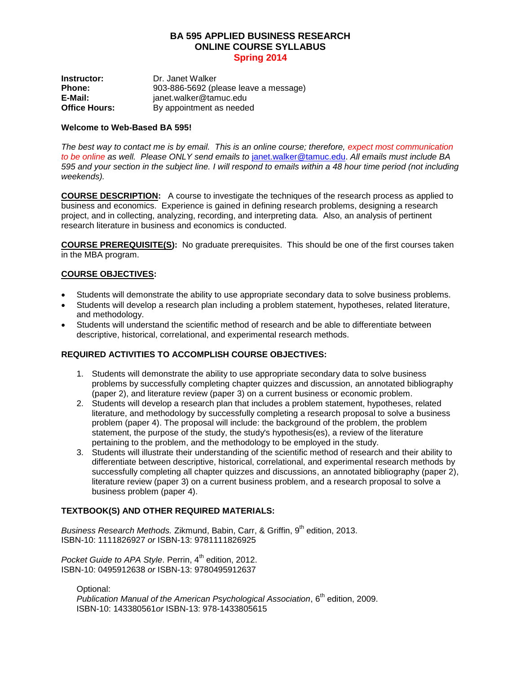## **BA 595 APPLIED BUSINESS RESEARCH ONLINE COURSE SYLLABUS Spring 2014**

**Instructor:** Dr. Janet Walker **Phone:** 903-886-5692 (please leave a message)<br> **E-Mail:** ianet walker@tamuc.edu **E-Mail:** janet.walker@tamuc.edu **Office Hours:** By appointment as needed

#### **Welcome to Web-Based BA 595!**

*The best way to contact me is by email. This is an online course; therefore, expect most communication to be online as well. Please ONLY send emails to* [janet.walker@tamuc.edu.](mailto:janet.walker@tamuc.edu) *All emails must include BA 595 and your section in the subject line. I will respond to emails within a 48 hour time period (not including weekends).*

**COURSE DESCRIPTION:** A course to investigate the techniques of the research process as applied to business and economics. Experience is gained in defining research problems, designing a research project, and in collecting, analyzing, recording, and interpreting data. Also, an analysis of pertinent research literature in business and economics is conducted.

**COURSE PREREQUISITE(S):** No graduate prerequisites. This should be one of the first courses taken in the MBA program.

## **COURSE OBJECTIVES:**

- Students will demonstrate the ability to use appropriate secondary data to solve business problems.
- Students will develop a research plan including a problem statement, hypotheses, related literature, and methodology.
- Students will understand the scientific method of research and be able to differentiate between descriptive, historical, correlational, and experimental research methods.

#### **REQUIRED ACTIVITIES TO ACCOMPLISH COURSE OBJECTIVES:**

- 1. Students will demonstrate the ability to use appropriate secondary data to solve business problems by successfully completing chapter quizzes and discussion, an annotated bibliography (paper 2), and literature review (paper 3) on a current business or economic problem.
- 2. Students will develop a research plan that includes a problem statement, hypotheses, related literature, and methodology by successfully completing a research proposal to solve a business problem (paper 4). The proposal will include: the background of the problem, the problem statement, the purpose of the study, the study's hypothesis(es), a review of the literature pertaining to the problem, and the methodology to be employed in the study.
- 3. Students will illustrate their understanding of the scientific method of research and their ability to differentiate between descriptive, historical, correlational, and experimental research methods by successfully completing all chapter quizzes and discussions, an annotated bibliography (paper 2), literature review (paper 3) on a current business problem, and a research proposal to solve a business problem (paper 4).

# **TEXTBOOK(S) AND OTHER REQUIRED MATERIALS:**

Business Research Methods. Zikmund, Babin, Carr, & Griffin, 9<sup>th</sup> edition, 2013. ISBN-10: 1111826927 *or* ISBN-13: 9781111826925

Pocket Guide to APA Style. Perrin, 4<sup>th</sup> edition, 2012. ISBN-10: 0495912638 *or* ISBN-13: 9780495912637

Optional:

*Publication Manual of the American Psychological Association*, 6th edition, 2009. ISBN-10: 143380561*or* ISBN-13: 978-1433805615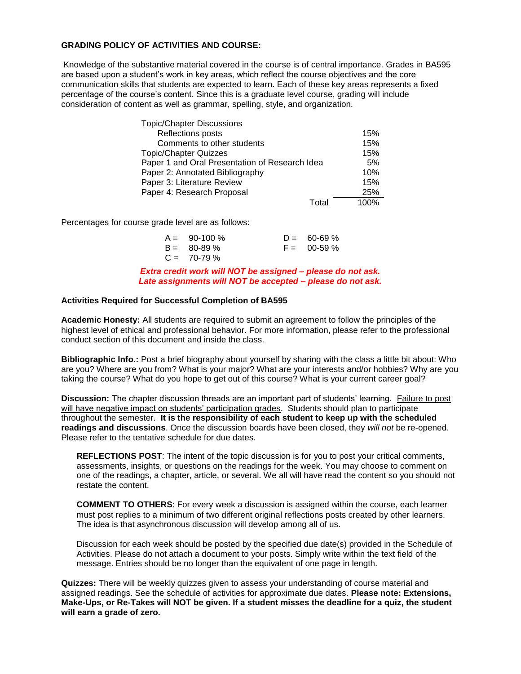## **GRADING POLICY OF ACTIVITIES AND COURSE:**

Knowledge of the substantive material covered in the course is of central importance. Grades in BA595 are based upon a student's work in key areas, which reflect the course objectives and the core communication skills that students are expected to learn. Each of these key areas represents a fixed percentage of the course's content. Since this is a graduate level course, grading will include consideration of content as well as grammar, spelling, style, and organization.

| <b>Topic/Chapter Discussions</b>               |      |
|------------------------------------------------|------|
| Reflections posts                              | 15%  |
| Comments to other students                     | 15%  |
| <b>Topic/Chapter Quizzes</b>                   | 15%  |
| Paper 1 and Oral Presentation of Research Idea | 5%   |
| Paper 2: Annotated Bibliography                | 10%  |
| Paper 3: Literature Review                     | 15%  |
| Paper 4: Research Proposal                     | 25%  |
| T∩tal                                          | 100% |

Percentages for course grade level are as follows:

| $A = 90-100\%$   | $D = 60 - 69 \%$ |
|------------------|------------------|
| $B = 80 - 89 \%$ | $F = 00-59\%$    |
| $C = 70-79\%$    |                  |

*Extra credit work will NOT be assigned – please do not ask. Late assignments will NOT be accepted – please do not ask.*

#### **Activities Required for Successful Completion of BA595**

**Academic Honesty:** All students are required to submit an agreement to follow the principles of the highest level of ethical and professional behavior. For more information, please refer to the professional conduct section of this document and inside the class.

**Bibliographic Info.:** Post a brief biography about yourself by sharing with the class a little bit about: Who are you? Where are you from? What is your major? What are your interests and/or hobbies? Why are you taking the course? What do you hope to get out of this course? What is your current career goal?

**Discussion:** The chapter discussion threads are an important part of students' learning. Failure to post will have negative impact on students' participation grades. Students should plan to participate throughout the semester. **It is the responsibility of each student to keep up with the scheduled readings and discussions**. Once the discussion boards have been closed, they *will not* be re-opened. Please refer to the tentative schedule for due dates.

**REFLECTIONS POST**: The intent of the topic discussion is for you to post your critical comments, assessments, insights, or questions on the readings for the week. You may choose to comment on one of the readings, a chapter, article, or several. We all will have read the content so you should not restate the content.

**COMMENT TO OTHERS**: For every week a discussion is assigned within the course, each learner must post replies to a minimum of two different original reflections posts created by other learners. The idea is that asynchronous discussion will develop among all of us.

Discussion for each week should be posted by the specified due date(s) provided in the Schedule of Activities. Please do not attach a document to your posts. Simply write within the text field of the message. Entries should be no longer than the equivalent of one page in length.

**Quizzes:** There will be weekly quizzes given to assess your understanding of course material and assigned readings. See the schedule of activities for approximate due dates. **Please note: Extensions, Make-Ups, or Re-Takes will NOT be given. If a student misses the deadline for a quiz, the student will earn a grade of zero.**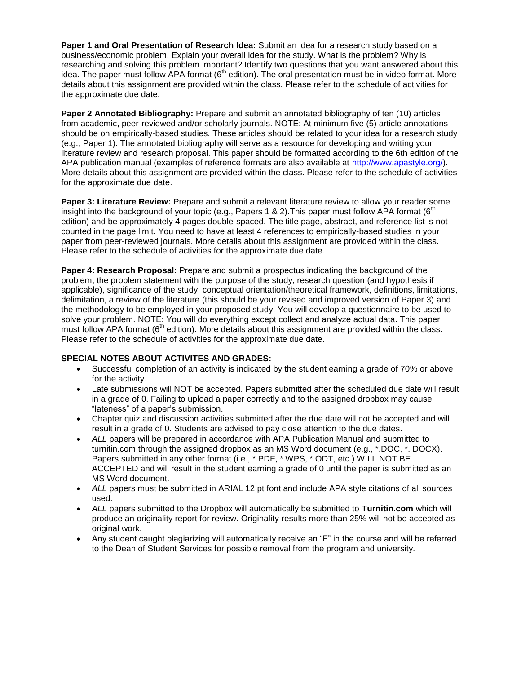**Paper 1 and Oral Presentation of Research Idea:** Submit an idea for a research study based on a business/economic problem. Explain your overall idea for the study. What is the problem? Why is researching and solving this problem important? Identify two questions that you want answered about this idea. The paper must follow APA format  $(6<sup>th</sup>$  edition). The oral presentation must be in video format. More details about this assignment are provided within the class. Please refer to the schedule of activities for the approximate due date.

**Paper 2 Annotated Bibliography:** Prepare and submit an annotated bibliography of ten (10) articles from academic, peer-reviewed and/or scholarly journals. NOTE: At minimum five (5) article annotations should be on empirically-based studies. These articles should be related to your idea for a research study (e.g., Paper 1). The annotated bibliography will serve as a resource for developing and writing your literature review and research proposal. This paper should be formatted according to the 6th edition of the APA publication manual (examples of reference formats are also available at [http://www.apastyle.org/\)](http://www.apastyle.org/). More details about this assignment are provided within the class. Please refer to the schedule of activities for the approximate due date.

**Paper 3: Literature Review:** Prepare and submit a relevant literature review to allow your reader some insight into the background of your topic (e.g., Papers 1 & 2). This paper must follow APA format (6<sup>th</sup>) edition) and be approximately 4 pages double-spaced. The title page, abstract, and reference list is not counted in the page limit. You need to have at least 4 references to empirically-based studies in your paper from peer-reviewed journals. More details about this assignment are provided within the class. Please refer to the schedule of activities for the approximate due date.

**Paper 4: Research Proposal:** Prepare and submit a prospectus indicating the background of the problem, the problem statement with the purpose of the study, research question (and hypothesis if applicable), significance of the study, conceptual orientation/theoretical framework, definitions, limitations, delimitation, a review of the literature (this should be your revised and improved version of Paper 3) and the methodology to be employed in your proposed study. You will develop a questionnaire to be used to solve your problem. NOTE: You will do everything except collect and analyze actual data. This paper must follow APA format (6<sup>th</sup> edition). More details about this assignment are provided within the class. Please refer to the schedule of activities for the approximate due date.

## **SPECIAL NOTES ABOUT ACTIVITES AND GRADES:**

- Successful completion of an activity is indicated by the student earning a grade of 70% or above for the activity.
- Late submissions will NOT be accepted. Papers submitted after the scheduled due date will result in a grade of 0. Failing to upload a paper correctly and to the assigned dropbox may cause "lateness" of a paper's submission.
- Chapter quiz and discussion activities submitted after the due date will not be accepted and will result in a grade of 0. Students are advised to pay close attention to the due dates.
- *ALL* papers will be prepared in accordance with APA Publication Manual and submitted to turnitin.com through the assigned dropbox as an MS Word document (e.g., \*.DOC, \*. DOCX). Papers submitted in any other format (i.e., \*.PDF, \*.WPS, \*.ODT, etc.) WILL NOT BE ACCEPTED and will result in the student earning a grade of 0 until the paper is submitted as an MS Word document.
- ALL papers must be submitted in ARIAL 12 pt font and include APA style citations of all sources used.
- *ALL* papers submitted to the Dropbox will automatically be submitted to **Turnitin.com** which will produce an originality report for review. Originality results more than 25% will not be accepted as original work.
- Any student caught plagiarizing will automatically receive an "F" in the course and will be referred to the Dean of Student Services for possible removal from the program and university.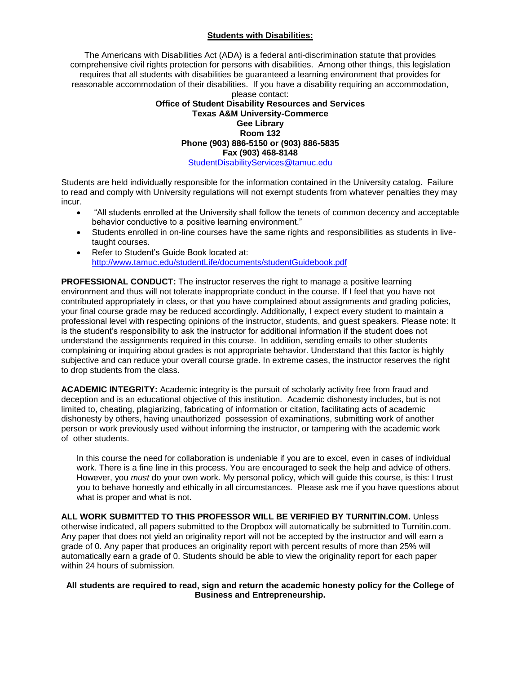## **Students with Disabilities:**

The Americans with Disabilities Act (ADA) is a federal anti-discrimination statute that provides comprehensive civil rights protection for persons with disabilities. Among other things, this legislation requires that all students with disabilities be guaranteed a learning environment that provides for reasonable accommodation of their disabilities. If you have a disability requiring an accommodation, please contact:

#### **Office of Student Disability Resources and Services Texas A&M University-Commerce Gee Library Room 132 Phone (903) 886-5150 or (903) 886-5835 Fax (903) 468-8148** [StudentDisabilityServices@tamuc.edu](mailto:StudentDisabilityServices@tamuc.edu)

Students are held individually responsible for the information contained in the University catalog. Failure to read and comply with University regulations will not exempt students from whatever penalties they may incur.

- "All students enrolled at the University shall follow the tenets of common decency and acceptable behavior conductive to a positive learning environment."
- Students enrolled in on-line courses have the same rights and responsibilities as students in livetaught courses.
- Refer to Student's Guide Book located at: <http://www.tamuc.edu/studentLife/documents/studentGuidebook.pdf>

**PROFESSIONAL CONDUCT:** The instructor reserves the right to manage a positive learning environment and thus will not tolerate inappropriate conduct in the course. If I feel that you have not contributed appropriately in class, or that you have complained about assignments and grading policies, your final course grade may be reduced accordingly. Additionally, I expect every student to maintain a professional level with respecting opinions of the instructor, students, and guest speakers. Please note: It is the student's responsibility to ask the instructor for additional information if the student does not understand the assignments required in this course. In addition, sending emails to other students complaining or inquiring about grades is not appropriate behavior. Understand that this factor is highly subjective and can reduce your overall course grade. In extreme cases, the instructor reserves the right to drop students from the class.

**ACADEMIC INTEGRITY:** Academic integrity is the pursuit of scholarly activity free from fraud and deception and is an educational objective of this institution. Academic dishonesty includes, but is not limited to, cheating, plagiarizing, fabricating of information or citation, facilitating acts of academic dishonesty by others, having unauthorized possession of examinations, submitting work of another person or work previously used without informing the instructor, or tampering with the academic work of other students.

In this course the need for collaboration is undeniable if you are to excel, even in cases of individual work. There is a fine line in this process. You are encouraged to seek the help and advice of others. However, you *must* do your own work. My personal policy, which will guide this course, is this: I trust you to behave honestly and ethically in all circumstances. Please ask me if you have questions about what is proper and what is not.

**ALL WORK SUBMITTED TO THIS PROFESSOR WILL BE VERIFIED BY TURNITIN.COM.** Unless otherwise indicated, all papers submitted to the Dropbox will automatically be submitted to Turnitin.com. Any paper that does not yield an originality report will not be accepted by the instructor and will earn a grade of 0. Any paper that produces an originality report with percent results of more than 25% will automatically earn a grade of 0. Students should be able to view the originality report for each paper within 24 hours of submission.

#### **All students are required to read, sign and return the academic honesty policy for the College of Business and Entrepreneurship.**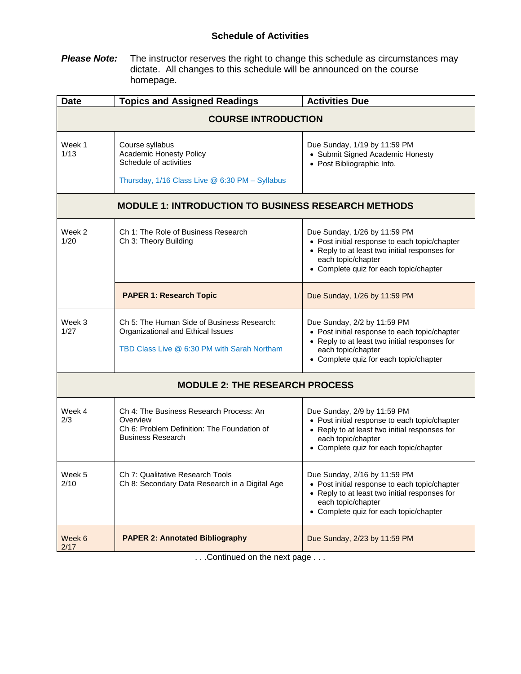# **Schedule of Activities**

**Please Note:** The instructor reserves the right to change this schedule as circumstances may dictate. All changes to this schedule will be announced on the course homepage.

| <b>Date</b>                                                | <b>Topics and Assigned Readings</b>                                                                                            | <b>Activities Due</b>                                                                                                                                                                          |  |  |
|------------------------------------------------------------|--------------------------------------------------------------------------------------------------------------------------------|------------------------------------------------------------------------------------------------------------------------------------------------------------------------------------------------|--|--|
| <b>COURSE INTRODUCTION</b>                                 |                                                                                                                                |                                                                                                                                                                                                |  |  |
| Week 1<br>1/13                                             | Course syllabus<br><b>Academic Honesty Policy</b><br>Schedule of activities<br>Thursday, 1/16 Class Live @ 6:30 PM - Syllabus  | Due Sunday, 1/19 by 11:59 PM<br>• Submit Signed Academic Honesty<br>• Post Bibliographic Info.                                                                                                 |  |  |
| <b>MODULE 1: INTRODUCTION TO BUSINESS RESEARCH METHODS</b> |                                                                                                                                |                                                                                                                                                                                                |  |  |
| Week 2<br>1/20                                             | Ch 1: The Role of Business Research<br>Ch 3: Theory Building                                                                   | Due Sunday, 1/26 by 11:59 PM<br>• Post initial response to each topic/chapter<br>• Reply to at least two initial responses for<br>each topic/chapter<br>• Complete quiz for each topic/chapter |  |  |
|                                                            | <b>PAPER 1: Research Topic</b>                                                                                                 | Due Sunday, 1/26 by 11:59 PM                                                                                                                                                                   |  |  |
| Week 3<br>1/27                                             | Ch 5: The Human Side of Business Research:<br>Organizational and Ethical Issues<br>TBD Class Live @ 6:30 PM with Sarah Northam | Due Sunday, 2/2 by 11:59 PM<br>• Post initial response to each topic/chapter<br>• Reply to at least two initial responses for<br>each topic/chapter<br>• Complete quiz for each topic/chapter  |  |  |
| <b>MODULE 2: THE RESEARCH PROCESS</b>                      |                                                                                                                                |                                                                                                                                                                                                |  |  |
| Week 4<br>2/3                                              | Ch 4: The Business Research Process: An<br>Overview<br>Ch 6: Problem Definition: The Foundation of<br><b>Business Research</b> | Due Sunday, 2/9 by 11:59 PM<br>• Post initial response to each topic/chapter<br>• Reply to at least two initial responses for<br>each topic/chapter<br>• Complete quiz for each topic/chapter  |  |  |
| Week 5<br>2/10                                             | Ch 7: Qualitative Research Tools<br>Ch 8: Secondary Data Research in a Digital Age                                             | Due Sunday, 2/16 by 11:59 PM<br>• Post initial response to each topic/chapter<br>• Reply to at least two initial responses for<br>each topic/chapter<br>• Complete quiz for each topic/chapter |  |  |
| Week 6<br>2/17                                             | <b>PAPER 2: Annotated Bibliography</b>                                                                                         | Due Sunday, 2/23 by 11:59 PM                                                                                                                                                                   |  |  |

. . .Continued on the next page . . .